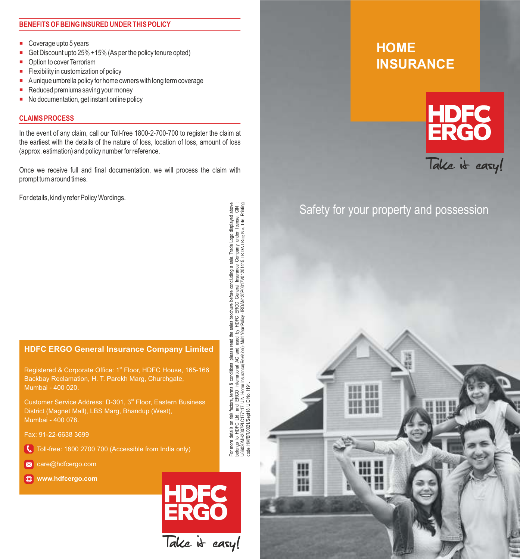#### **BENEFITS OF BEING INSURED UNDER THIS POLICY**

- Coverage upto 5 years
- Get Discount upto 25% +15% (As per the policy tenure opted)
- Option to cover Terrorism
- Flexibility in customization of policy
- A unique umbrella policy for home owners with long term coverage
- Reduced premiums saving your money
- No documentation, get instant online policy

#### **CLAIMS PROCESS**

In the event of any claim, call our Toll-free 1800-2-700-700 to register the claim at the earliest with the details of the nature of loss, location of loss, amount of loss (approx. estimation) and policy number for reference.

Once we receive full and final documentation, we will process the claim with prompt turn around times.

For details, kindly refer Policy Wordings.

### **HDFC ERGO General Insurance Company Limited**

Registered & Corporate Office: 1<sup>st</sup> Floor, HDFC House, 165-166 Backbay Reclamation, H. T. Parekh Marg, Churchgate, Mumbai - 400 020.

District (Magnet Mall), LBS Marg, Bhandup (West), Mumbai - 400 078.

Fax: 91-22-6638 3699

- Toll-free: 1800 2700 700 (Accessible from India only)
- x care@hdfcergo.com

 **www.hdfcergo.com**



# **HOME INSURANCE**



## Safety for your property and possession